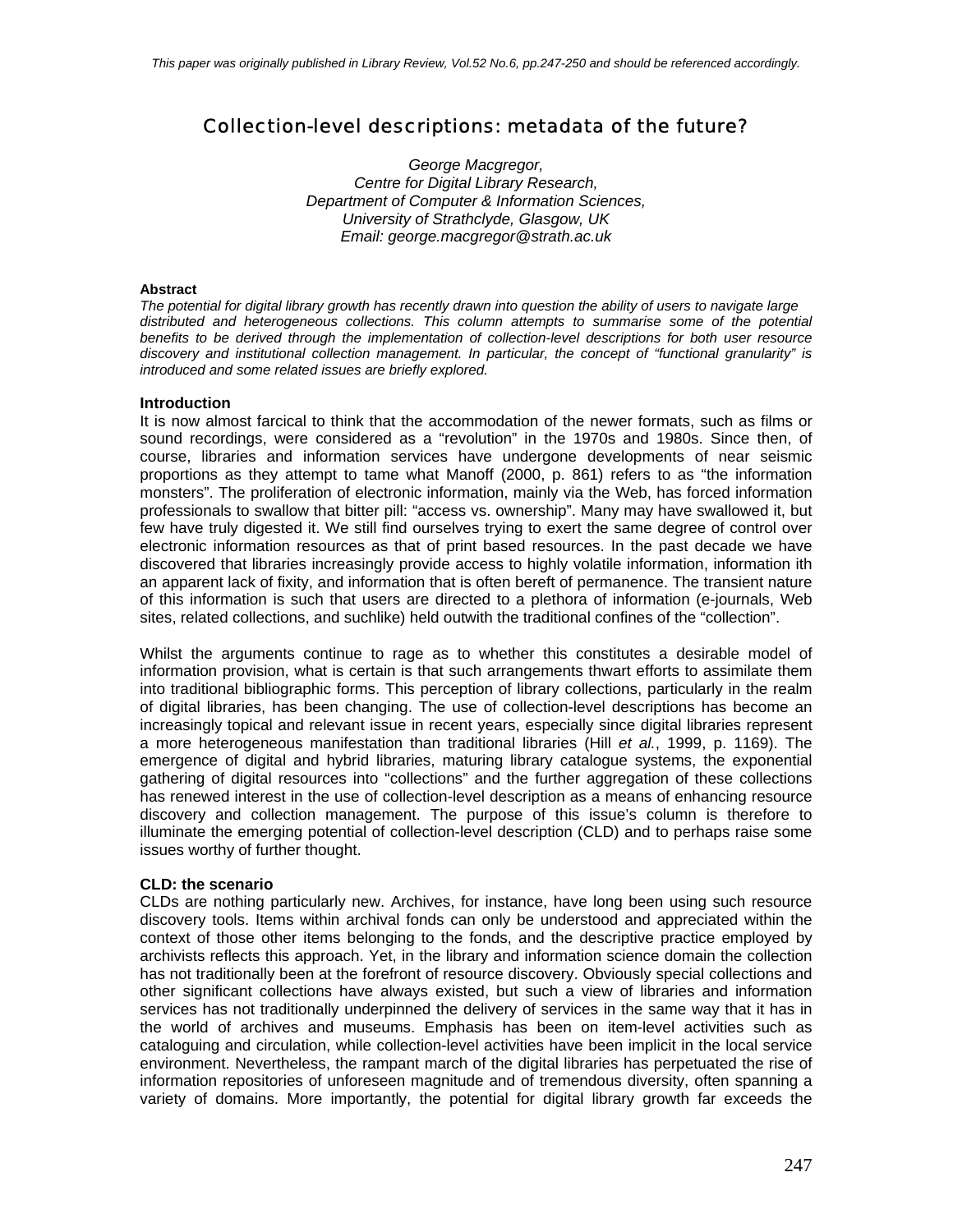# Collection-level descriptions: metadata of the future?

*George Macgregor, Centre for Digital Library Research, Department of Computer & Information Sciences, University of Strathclyde, Glasgow, UK Email: george.macgregor@strath.ac.uk* 

#### **Abstract**

*The potential for digital library growth has recently drawn into question the ability of users to navigate large distributed and heterogeneous collections. This column attempts to summarise some of the potential benefits to be derived through the implementation of collection-level descriptions for both user resource discovery and institutional collection management. In particular, the concept of "functional granularity" is introduced and some related issues are briefly explored.* 

### **Introduction**

It is now almost farcical to think that the accommodation of the newer formats, such as films or sound recordings, were considered as a "revolution" in the 1970s and 1980s. Since then, of course, libraries and information services have undergone developments of near seismic proportions as they attempt to tame what Manoff (2000, p. 861) refers to as "the information monsters". The proliferation of electronic information, mainly via the Web, has forced information professionals to swallow that bitter pill: "access vs. ownership". Many may have swallowed it, but few have truly digested it. We still find ourselves trying to exert the same degree of control over electronic information resources as that of print based resources. In the past decade we have discovered that libraries increasingly provide access to highly volatile information, information ith an apparent lack of fixity, and information that is often bereft of permanence. The transient nature of this information is such that users are directed to a plethora of information (e-journals, Web sites, related collections, and suchlike) held outwith the traditional confines of the "collection".

Whilst the arguments continue to rage as to whether this constitutes a desirable model of information provision, what is certain is that such arrangements thwart efforts to assimilate them into traditional bibliographic forms. This perception of library collections, particularly in the realm of digital libraries, has been changing. The use of collection-level descriptions has become an increasingly topical and relevant issue in recent years, especially since digital libraries represent a more heterogeneous manifestation than traditional libraries (Hill *et al.*, 1999, p. 1169). The emergence of digital and hybrid libraries, maturing library catalogue systems, the exponential gathering of digital resources into "collections" and the further aggregation of these collections has renewed interest in the use of collection-level description as a means of enhancing resource discovery and collection management. The purpose of this issue's column is therefore to illuminate the emerging potential of collection-level description (CLD) and to perhaps raise some issues worthy of further thought.

### **CLD: the scenario**

CLDs are nothing particularly new. Archives, for instance, have long been using such resource discovery tools. Items within archival fonds can only be understood and appreciated within the context of those other items belonging to the fonds, and the descriptive practice employed by archivists reflects this approach. Yet, in the library and information science domain the collection has not traditionally been at the forefront of resource discovery. Obviously special collections and other significant collections have always existed, but such a view of libraries and information services has not traditionally underpinned the delivery of services in the same way that it has in the world of archives and museums. Emphasis has been on item-level activities such as cataloguing and circulation, while collection-level activities have been implicit in the local service environment. Nevertheless, the rampant march of the digital libraries has perpetuated the rise of information repositories of unforeseen magnitude and of tremendous diversity, often spanning a variety of domains. More importantly, the potential for digital library growth far exceeds the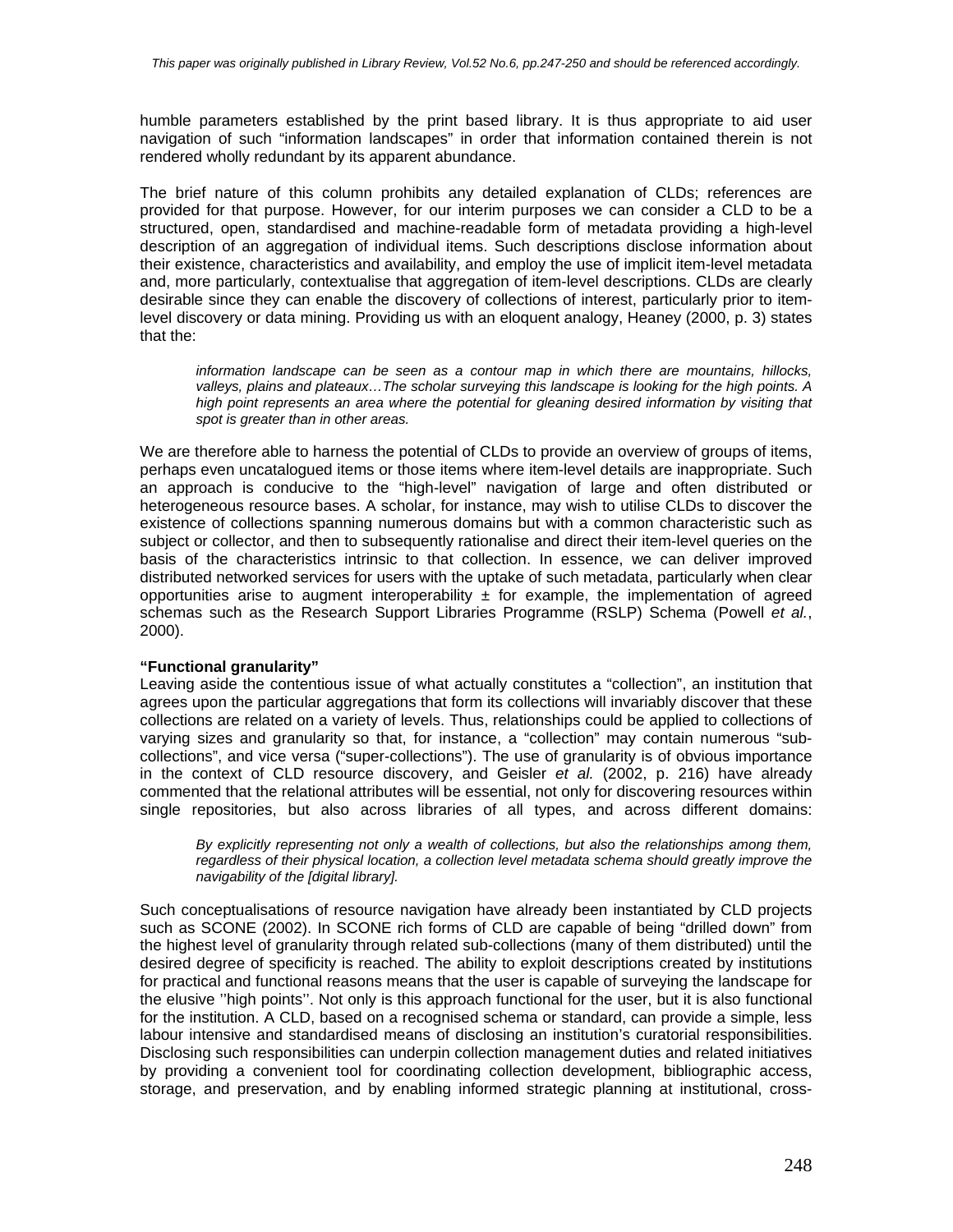humble parameters established by the print based library. It is thus appropriate to aid user navigation of such "information landscapes" in order that information contained therein is not rendered wholly redundant by its apparent abundance.

The brief nature of this column prohibits any detailed explanation of CLDs; references are provided for that purpose. However, for our interim purposes we can consider a CLD to be a structured, open, standardised and machine-readable form of metadata providing a high-level description of an aggregation of individual items. Such descriptions disclose information about their existence, characteristics and availability, and employ the use of implicit item-level metadata and, more particularly, contextualise that aggregation of item-level descriptions. CLDs are clearly desirable since they can enable the discovery of collections of interest, particularly prior to itemlevel discovery or data mining. Providing us with an eloquent analogy, Heaney (2000, p. 3) states that the:

*information landscape can be seen as a contour map in which there are mountains, hillocks, valleys, plains and plateaux…The scholar surveying this landscape is looking for the high points. A high point represents an area where the potential for gleaning desired information by visiting that spot is greater than in other areas.* 

We are therefore able to harness the potential of CLDs to provide an overview of groups of items, perhaps even uncatalogued items or those items where item-level details are inappropriate. Such an approach is conducive to the "high-level" navigation of large and often distributed or heterogeneous resource bases. A scholar, for instance, may wish to utilise CLDs to discover the existence of collections spanning numerous domains but with a common characteristic such as subject or collector, and then to subsequently rationalise and direct their item-level queries on the basis of the characteristics intrinsic to that collection. In essence, we can deliver improved distributed networked services for users with the uptake of such metadata, particularly when clear opportunities arise to augment interoperability  $\pm$  for example, the implementation of agreed schemas such as the Research Support Libraries Programme (RSLP) Schema (Powell *et al.*, 2000).

# **"Functional granularity"**

Leaving aside the contentious issue of what actually constitutes a "collection", an institution that agrees upon the particular aggregations that form its collections will invariably discover that these collections are related on a variety of levels. Thus, relationships could be applied to collections of varying sizes and granularity so that, for instance, a "collection" may contain numerous "subcollections", and vice versa ("super-collections"). The use of granularity is of obvious importance in the context of CLD resource discovery, and Geisler *et al.* (2002, p. 216) have already commented that the relational attributes will be essential, not only for discovering resources within single repositories, but also across libraries of all types, and across different domains:

*By explicitly representing not only a wealth of collections, but also the relationships among them, regardless of their physical location, a collection level metadata schema should greatly improve the navigability of the [digital library].* 

Such conceptualisations of resource navigation have already been instantiated by CLD projects such as SCONE (2002). In SCONE rich forms of CLD are capable of being "drilled down" from the highest level of granularity through related sub-collections (many of them distributed) until the desired degree of specificity is reached. The ability to exploit descriptions created by institutions for practical and functional reasons means that the user is capable of surveying the landscape for the elusive ''high points''. Not only is this approach functional for the user, but it is also functional for the institution. A CLD, based on a recognised schema or standard, can provide a simple, less labour intensive and standardised means of disclosing an institution's curatorial responsibilities. Disclosing such responsibilities can underpin collection management duties and related initiatives by providing a convenient tool for coordinating collection development, bibliographic access, storage, and preservation, and by enabling informed strategic planning at institutional, cross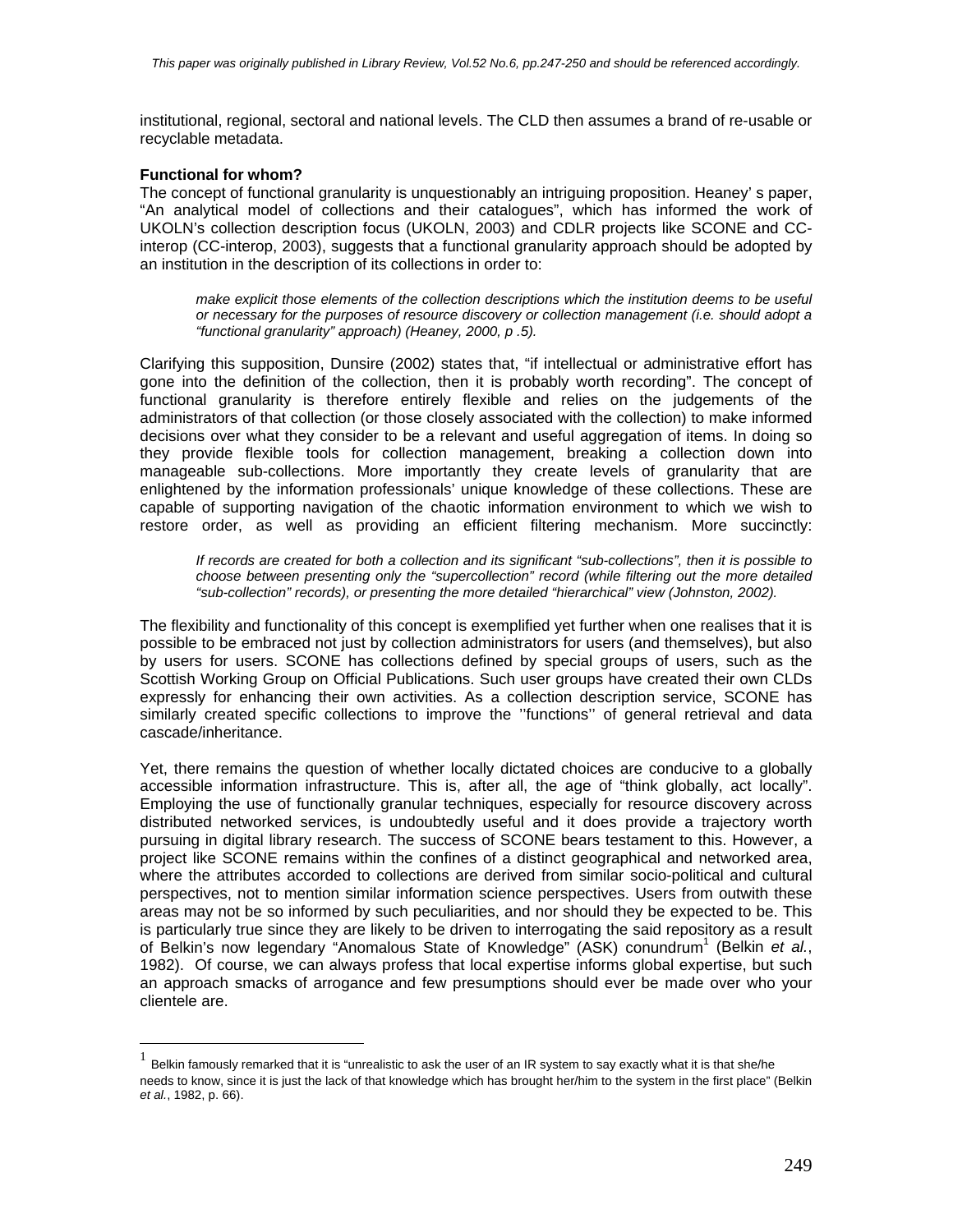institutional, regional, sectoral and national levels. The CLD then assumes a brand of re-usable or recyclable metadata.

# **Functional for whom?**

 $\overline{a}$ 

The concept of functional granularity is unquestionably an intriguing proposition. Heaney' s paper, "An analytical model of collections and their catalogues", which has informed the work of UKOLN's collection description focus (UKOLN, 2003) and CDLR projects like SCONE and CCinterop (CC-interop, 2003), suggests that a functional granularity approach should be adopted by an institution in the description of its collections in order to:

*make explicit those elements of the collection descriptions which the institution deems to be useful or necessary for the purposes of resource discovery or collection management (i.e. should adopt a "functional granularity" approach) (Heaney, 2000, p .5).* 

Clarifying this supposition, Dunsire (2002) states that, "if intellectual or administrative effort has gone into the definition of the collection, then it is probably worth recording". The concept of functional granularity is therefore entirely flexible and relies on the judgements of the administrators of that collection (or those closely associated with the collection) to make informed decisions over what they consider to be a relevant and useful aggregation of items. In doing so they provide flexible tools for collection management, breaking a collection down into manageable sub-collections. More importantly they create levels of granularity that are enlightened by the information professionals' unique knowledge of these collections. These are capable of supporting navigation of the chaotic information environment to which we wish to restore order, as well as providing an efficient filtering mechanism. More succinctly:

*If records are created for both a collection and its significant "sub-collections", then it is possible to choose between presenting only the "supercollection" record (while filtering out the more detailed "sub-collection" records), or presenting the more detailed "hierarchical" view (Johnston, 2002).* 

The flexibility and functionality of this concept is exemplified yet further when one realises that it is possible to be embraced not just by collection administrators for users (and themselves), but also by users for users. SCONE has collections defined by special groups of users, such as the Scottish Working Group on Official Publications. Such user groups have created their own CLDs expressly for enhancing their own activities. As a collection description service, SCONE has similarly created specific collections to improve the ''functions'' of general retrieval and data cascade/inheritance.

Yet, there remains the question of whether locally dictated choices are conducive to a globally accessible information infrastructure. This is, after all, the age of "think globally, act locally". Employing the use of functionally granular techniques, especially for resource discovery across distributed networked services, is undoubtedly useful and it does provide a trajectory worth pursuing in digital library research. The success of SCONE bears testament to this. However, a project like SCONE remains within the confines of a distinct geographical and networked area, where the attributes accorded to collections are derived from similar socio-political and cultural perspectives, not to mention similar information science perspectives. Users from outwith these areas may not be so informed by such peculiarities, and nor should they be expected to be. This is particularly true since they are likely to be driven to interrogating the said repository as a result of Belkin's now legendary "Anomalous State of Knowledge" (ASK) conundrum<sup>1</sup> (Belkin et al., 1982). Of course, we can always profess that local expertise informs global expertise, but such an approach smacks of arrogance and few presumptions should ever be made over who your clientele are.

<span id="page-2-0"></span>Belkin famously remarked that it is "unrealistic to ask the user of an IR system to say exactly what it is that she/he needs to know, since it is just the lack of that knowledge which has brought her/him to the system in the first place" (Belkin *et al.*, 1982, p. 66).